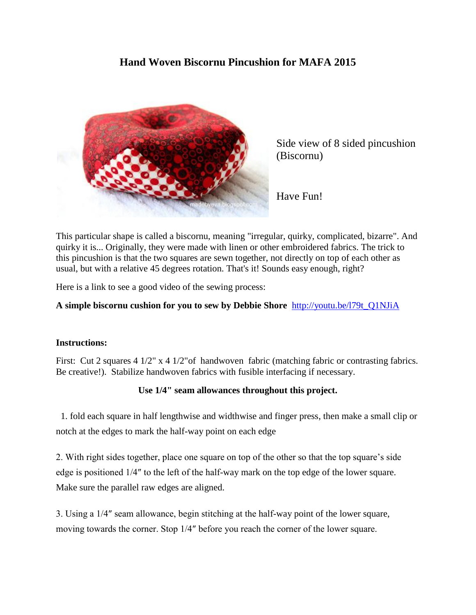## **Hand Woven Biscornu Pincushion for MAFA 2015**



Side view of 8 sided pincushion (Biscornu)

Have Fun!

This particular shape is called a biscornu, meaning "irregular, quirky, complicated, bizarre". And quirky it is... Originally, they were made with linen or other embroidered fabrics. The trick to this pincushion is that the two squares are sewn together, not directly on top of each other as usual, but with a relative 45 degrees rotation. That's it! Sounds easy enough, right?

Here is a link to see a good video of the sewing process:

## **A simple biscornu cushion for you to sew by Debbie Shore** [http://youtu.be/l79t\\_Q1NJiA](http://youtu.be/l79t_Q1NJiA)

## **Instructions:**

First: Cut 2 squares 4 1/2" x 4 1/2" of handwoven fabric (matching fabric or contrasting fabrics. Be creative!). Stabilize handwoven fabrics with fusible interfacing if necessary.

## **Use 1/4" seam allowances throughout this project.**

 1. fold each square in half lengthwise and widthwise and finger press, then make a small clip or notch at the edges to mark the half-way point on each edge

2. With right sides together, place one square on top of the other so that the top square's side edge is positioned 1/4″ to the left of the half-way mark on the top edge of the lower square. Make sure the parallel raw edges are aligned.

3. Using a 1/4″ seam allowance, begin stitching at the half-way point of the lower square, moving towards the corner. Stop 1/4″ before you reach the corner of the lower square.